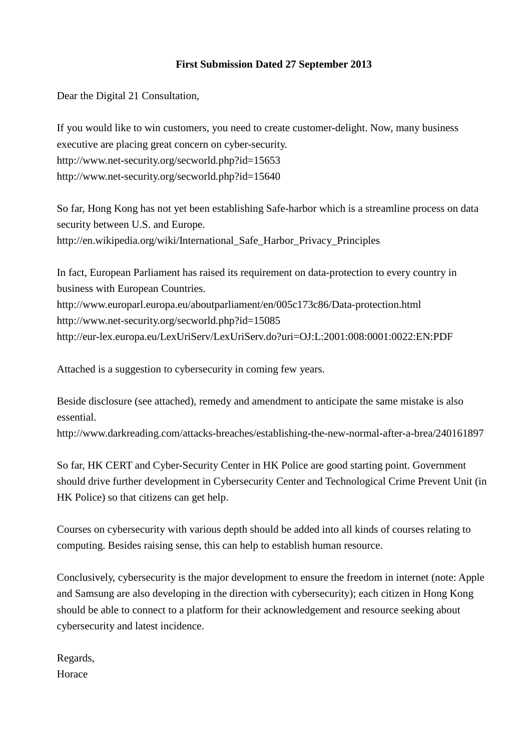## **First Submission Dated 27 September 2013**

Dear the Digital 21 Consultation,

If you would like to win customers, you need to create customer-delight. Now, many business executive are placing great concern on cyber-security. http://www.net-security.org/secworld.php?id=15653 http://www.net-security.org/secworld.php?id=15640

So far, Hong Kong has not yet been establishing Safe-harbor which is a streamline process on data security between U.S. and Europe. http://en.wikipedia.org/wiki/International\_Safe\_Harbor\_Privacy\_Principles

In fact, European Parliament has raised its requirement on data-protection to every country in business with European Countries. http://www.europarl.europa.eu/aboutparliament/en/005c173c86/Data-protection.html http://www.net-security.org/secworld.php?id=15085 http://eur-lex.europa.eu/LexUriServ/LexUriServ.do?uri=OJ:L:2001:008:0001:0022:EN:PDF

Attached is a suggestion to cybersecurity in coming few years.

Beside disclosure (see attached), remedy and amendment to anticipate the same mistake is also essential.

http://www.darkreading.com/attacks-breaches/establishing-the-new-normal-after-a-brea/240161897

So far, HK CERT and Cyber-Security Center in HK Police are good starting point. Government should drive further development in Cybersecurity Center and Technological Crime Prevent Unit (in HK Police) so that citizens can get help.

Courses on cybersecurity with various depth should be added into all kinds of courses relating to computing. Besides raising sense, this can help to establish human resource.

Conclusively, cybersecurity is the major development to ensure the freedom in internet (note: Apple and Samsung are also developing in the direction with cybersecurity); each citizen in Hong Kong should be able to connect to a platform for their acknowledgement and resource seeking about cybersecurity and latest incidence.

Regards, Horace